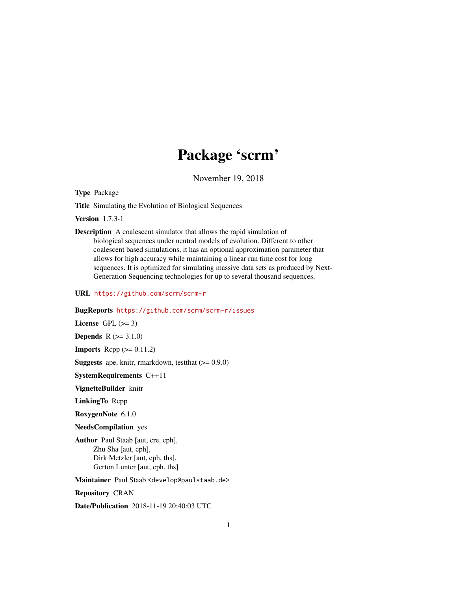# Package 'scrm'

November 19, 2018

<span id="page-0-0"></span>Type Package

Title Simulating the Evolution of Biological Sequences

Version 1.7.3-1

Description A coalescent simulator that allows the rapid simulation of biological sequences under neutral models of evolution. Different to other coalescent based simulations, it has an optional approximation parameter that allows for high accuracy while maintaining a linear run time cost for long sequences. It is optimized for simulating massive data sets as produced by Next-Generation Sequencing technologies for up to several thousand sequences.

URL <https://github.com/scrm/scrm-r>

#### BugReports <https://github.com/scrm/scrm-r/issues>

License GPL  $(>= 3)$ 

**Depends**  $R (= 3.1.0)$ 

**Imports** Rcpp  $(>= 0.11.2)$ 

**Suggests** ape, knitr, rmarkdown, test that  $(>= 0.9.0)$ 

SystemRequirements C++11

VignetteBuilder knitr

LinkingTo Rcpp

RoxygenNote 6.1.0

NeedsCompilation yes

Author Paul Staab [aut, cre, cph], Zhu Sha [aut, cph], Dirk Metzler [aut, cph, ths], Gerton Lunter [aut, cph, ths]

Maintainer Paul Staab <develop@paulstaab.de>

Repository CRAN

Date/Publication 2018-11-19 20:40:03 UTC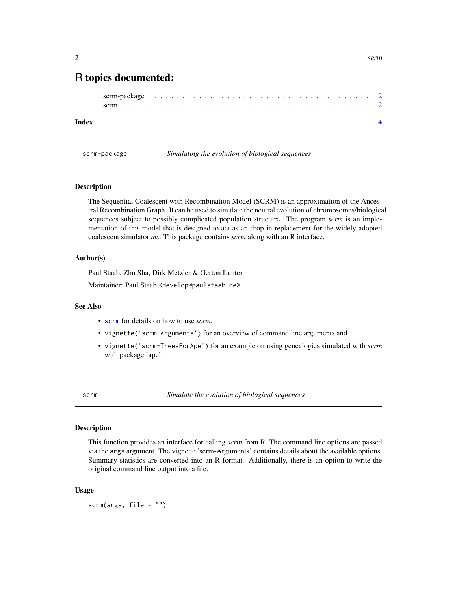# <span id="page-1-0"></span>R topics documented:

#### **Index** [4](#page-3-0)

scrm-package *Simulating the evolution of biological sequences*

#### Description

The Sequential Coalescent with Recombination Model (SCRM) is an approximation of the Ancestral Recombination Graph. It can be used to simulate the neutral evolution of chromosomes/biological sequences subject to possibly complicated population structure. The program *scrm* is an implementation of this model that is designed to act as an drop-in replacement for the widely adopted coalescent simulator *ms*. This package contains *scrm* along with an R interface.

#### Author(s)

Paul Staab, Zhu Sha, Dirk Metzler & Gerton Lunter

Maintainer: Paul Staab <develop@paulstaab.de>

## See Also

- [scrm](#page-1-1) for details on how to use *scrm*,
- vignette('scrm-Arguments') for an overview of command line arguments and
- vignette('scrm-TreesForApe') for an example on using genealogies simulated with *scrm* with package 'ape'.

<span id="page-1-1"></span>scrm *Simulate the evolution of biological sequences*

#### Description

This function provides an interface for calling *scrm* from R. The command line options are passed via the args argument. The vignette 'scrm-Arguments' contains details about the available options. Summary statistics are converted into an R format. Additionally, there is an option to write the original command line output into a file.

#### Usage

scrm(args,  $file = "")$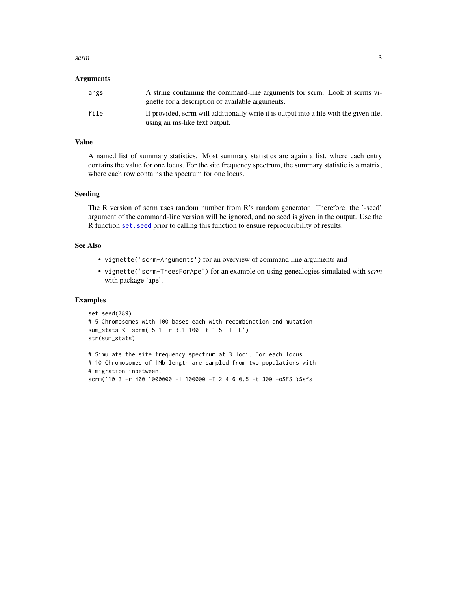#### <span id="page-2-0"></span>scrm 3

#### Arguments

| args | A string containing the command-line arguments for scrm. Look at scrms vi-<br>gnette for a description of available arguments. |
|------|--------------------------------------------------------------------------------------------------------------------------------|
| file | If provided, scrm will additionally write it is output into a file with the given file.<br>using an ms-like text output.       |

#### Value

A named list of summary statistics. Most summary statistics are again a list, where each entry contains the value for one locus. For the site frequency spectrum, the summary statistic is a matrix, where each row contains the spectrum for one locus.

# Seeding

The R version of scrm uses random number from R's random generator. Therefore, the '-seed' argument of the command-line version will be ignored, and no seed is given in the output. Use the R function set. seed prior to calling this function to ensure reproducibility of results.

#### See Also

- vignette('scrm-Arguments') for an overview of command line arguments and
- vignette('scrm-TreesForApe') for an example on using genealogies simulated with *scrm* with package 'ape'.

### Examples

```
set.seed(789)
# 5 Chromosomes with 100 bases each with recombination and mutation
sum_stats <- scrm('5 1 -r 3.1 100 -t 1.5 -T -L')
str(sum_stats)
```

```
# Simulate the site frequency spectrum at 3 loci. For each locus
# 10 Chromosomes of 1Mb length are sampled from two populations with
# migration inbetween.
scrm('10 3 -r 400 1000000 -l 100000 -I 2 4 6 0.5 -t 300 -oSFS')$sfs
```